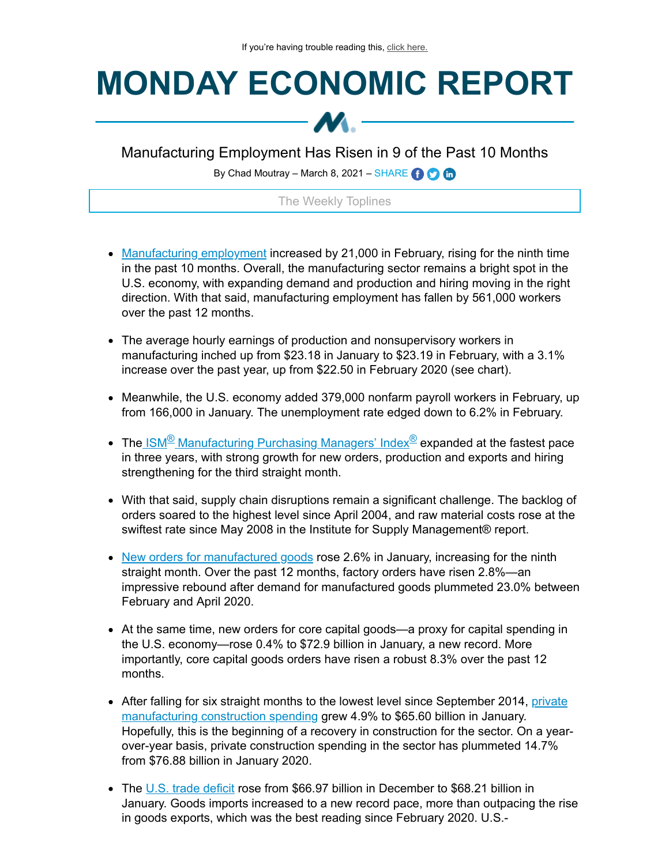## **MONDAY ECONOMIC REPORT**



Manufacturing Employment Has Risen in 9 of the Past 10 Months

By Chad Moutray – March 8, 2021 – SHARE  $\bigodot$   $\bigodot$ 

## The Weekly Toplines

- [Manufacturing](https://click.email.nam.org/?qs=81818105428c8357fdd4a221f1fa058a06b90bedb6c0b7fb702e569ebeb8a3151fa21e94c4c88d3388e4cb9055dac6d47c28b239787140f578e93350c1d04fad) employment increased by 21,000 in February, rising for the ninth time in the past 10 months. Overall, the manufacturing sector remains a bright spot in the U.S. economy, with expanding demand and production and hiring moving in the right direction. With that said, manufacturing employment has fallen by 561,000 workers over the past 12 months.
- The average hourly earnings of production and nonsupervisory workers in manufacturing inched up from \$23.18 in January to \$23.19 in February, with a 3.1% increase over the past year, up from \$22.50 in February 2020 (see chart).
- Meanwhile, the U.S. economy added 379,000 nonfarm payroll workers in February, up from 166,000 in January. The unemployment rate edged down to 6.2% in February.
- The<u>.ISM<sup>®</sup> [Manufacturing](https://click.email.nam.org/?qs=81818105428c83571cadfa936428e3a57251926589309927d94fe79b38735a90dd214bdb9c3ee78495345236fa3e9a484a5e7b7521d5dc75c0f284ca05058b2e) Purchasing Managers' Index<sup>®</sup> expanded at the fastest pace</u> in three years, with strong growth for new orders, production and exports and hiring strengthening for the third straight month.
- With that said, supply chain disruptions remain a significant challenge. The backlog of orders soared to the highest level since April 2004, and raw material costs rose at the swiftest rate since May 2008 in the Institute for Supply Management® report.
- New orders for [manufactured](https://click.email.nam.org/?qs=81818105428c8357c110e6ea2d1118a6242d196487bfb55301da73f0e0274aec888de628730493a5a8027c23e1dfe306a0c6a56af33628cd677ea74c54f077ff) goods rose 2.6% in January, increasing for the ninth straight month. Over the past 12 months, factory orders have risen 2.8%—an impressive rebound after demand for manufactured goods plummeted 23.0% between February and April 2020.
- At the same time, new orders for core capital goods—a proxy for capital spending in the U.S. economy—rose 0.4% to \$72.9 billion in January, a new record. More importantly, core capital goods orders have risen a robust 8.3% over the past 12 months.
- After falling for six straight months to the lowest level since September 2014, private [manufacturing](https://click.email.nam.org/?qs=81818105428c8357946f03aff5f742bff9d83ed5171cf3cf90d5078da30eb28adb375d5006748e0541a0d43b07630590597570d14f4ef5cdf89cc12be81f8fc2) construction spending grew 4.9% to \$65.60 billion in January. Hopefully, this is the beginning of a recovery in construction for the sector. On a yearover-year basis, private construction spending in the sector has plummeted 14.7% from \$76.88 billion in January 2020.
- The U.S. trade [deficit](https://click.email.nam.org/?qs=81818105428c835701b24fc0fbb105089aa6ade4c5b4b1f3d28728a4ee29fab97f7952954822dfe827adb827641ef3f5b7c5421174f97a6ab396ca03ffb5d1eb) rose from \$66.97 billion in December to \$68.21 billion in January. Goods imports increased to a new record pace, more than outpacing the rise in goods exports, which was the best reading since February 2020. U.S.-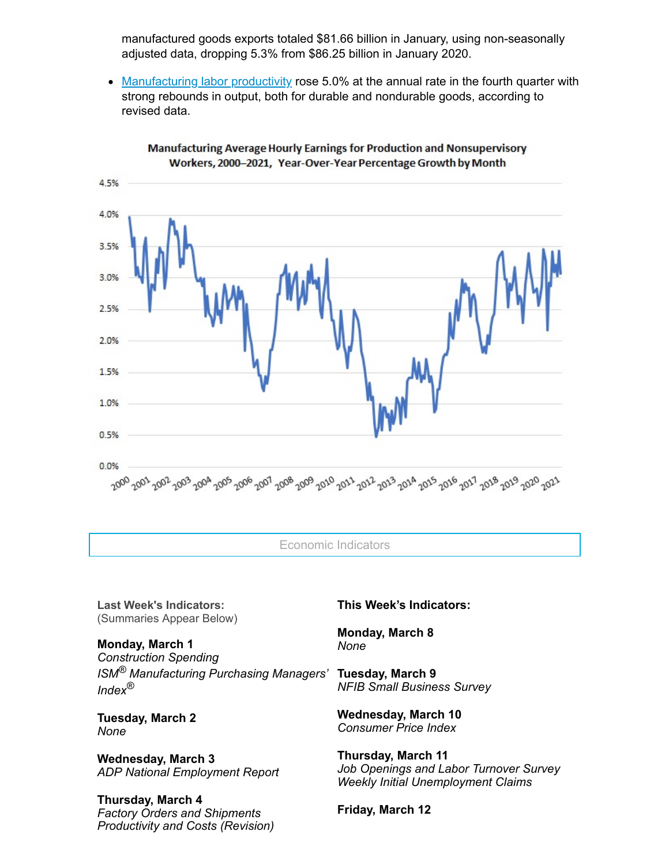manufactured goods exports totaled \$81.66 billion in January, using non-seasonally adjusted data, dropping 5.3% from \$86.25 billion in January 2020.

• [Manufacturing](https://click.email.nam.org/?qs=51e43d7de227c03635e0745aa45544b08a5798dd96e11c835d95e013e2a2a59aa80c2199648f629fbc83eee1d202816f918848a4f5c199e530ea120361866d51) labor productivity rose 5.0% at the annual rate in the fourth quarter with strong rebounds in output, both for durable and nondurable goods, according to revised data.



Manufacturing Average Hourly Earnings for Production and Nonsupervisory Workers, 2000-2021, Year-Over-Year Percentage Growth by Month

Economic Indicators

**Last Week's Indicators:** (Summaries Appear Below)

**Monday, March 1** *Construction Spending ISM® Manufacturing Purchasing Managers' Index ®*

**Tuesday, March 2** *None*

**Wednesday, March 3** *ADP National Employment Report*

## **Thursday, March 4** *Factory Orders and Shipments Productivity and Costs (Revision)*

**This Week's Indicators:**

**Monday, March 8** *None*

**Tuesday, March 9** *NFIB Small Business Survey*

**Wednesday, March 10** *Consumer Price Index*

**Thursday, March 11** *Job Openings and Labor Turnover Survey Weekly Initial Unemployment Claims*

**Friday, March 12**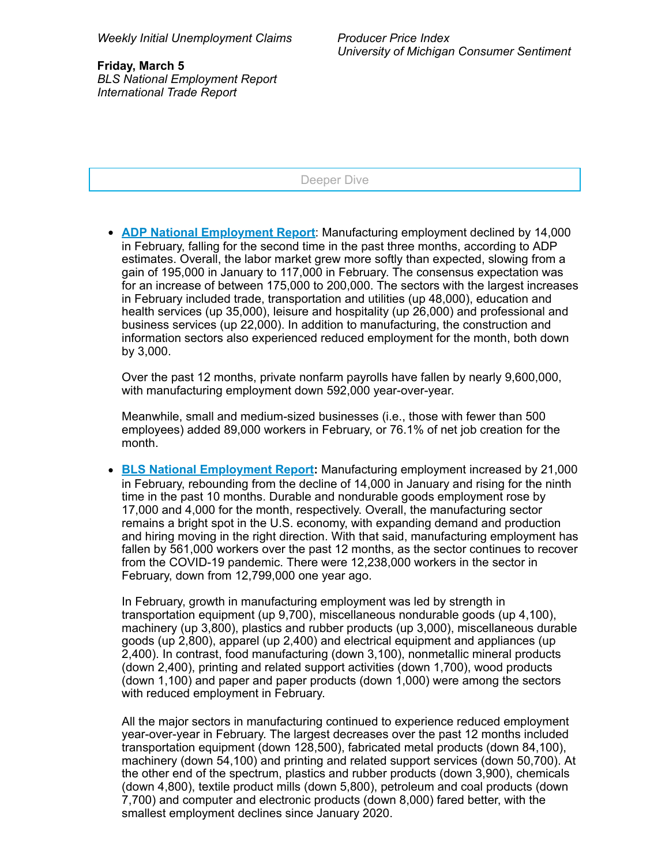Deeper Dive

**ADP National [Employment](https://click.email.nam.org/?qs=51e43d7de227c0363487fe4180c886422cf724aa586fad7399d7edf055a3183e84a09326c773141008e990f78542324620c14804c080577b4e20dfe9edbf839e) Report**: Manufacturing employment declined by 14,000 in February, falling for the second time in the past three months, according to ADP estimates. Overall, the labor market grew more softly than expected, slowing from a gain of 195,000 in January to 117,000 in February. The consensus expectation was for an increase of between 175,000 to 200,000. The sectors with the largest increases in February included trade, transportation and utilities (up 48,000), education and health services (up 35,000), leisure and hospitality (up 26,000) and professional and business services (up 22,000). In addition to manufacturing, the construction and information sectors also experienced reduced employment for the month, both down by 3,000.

Over the past 12 months, private nonfarm payrolls have fallen by nearly 9,600,000, with manufacturing employment down 592,000 year-over-year.

Meanwhile, small and medium-sized businesses (i.e., those with fewer than 500 employees) added 89,000 workers in February, or 76.1% of net job creation for the month.

**BLS National [Employment](https://click.email.nam.org/?qs=81818105428c8357fdd4a221f1fa058a06b90bedb6c0b7fb702e569ebeb8a3151fa21e94c4c88d3388e4cb9055dac6d47c28b239787140f578e93350c1d04fad) Report:** Manufacturing employment increased by 21,000 in February, rebounding from the decline of 14,000 in January and rising for the ninth time in the past 10 months. Durable and nondurable goods employment rose by 17,000 and 4,000 for the month, respectively. Overall, the manufacturing sector remains a bright spot in the U.S. economy, with expanding demand and production and hiring moving in the right direction. With that said, manufacturing employment has fallen by 561,000 workers over the past 12 months, as the sector continues to recover from the COVID-19 pandemic. There were 12,238,000 workers in the sector in February, down from 12,799,000 one year ago.

In February, growth in manufacturing employment was led by strength in transportation equipment (up 9,700), miscellaneous nondurable goods (up 4,100), machinery (up 3,800), plastics and rubber products (up 3,000), miscellaneous durable goods (up 2,800), apparel (up 2,400) and electrical equipment and appliances (up 2,400). In contrast, food manufacturing (down 3,100), nonmetallic mineral products (down 2,400), printing and related support activities (down 1,700), wood products (down 1,100) and paper and paper products (down 1,000) were among the sectors with reduced employment in February.

All the major sectors in manufacturing continued to experience reduced employment year-over-year in February. The largest decreases over the past 12 months included transportation equipment (down 128,500), fabricated metal products (down 84,100), machinery (down 54,100) and printing and related support services (down 50,700). At the other end of the spectrum, plastics and rubber products (down 3,900), chemicals (down 4,800), textile product mills (down 5,800), petroleum and coal products (down 7,700) and computer and electronic products (down 8,000) fared better, with the smallest employment declines since January 2020.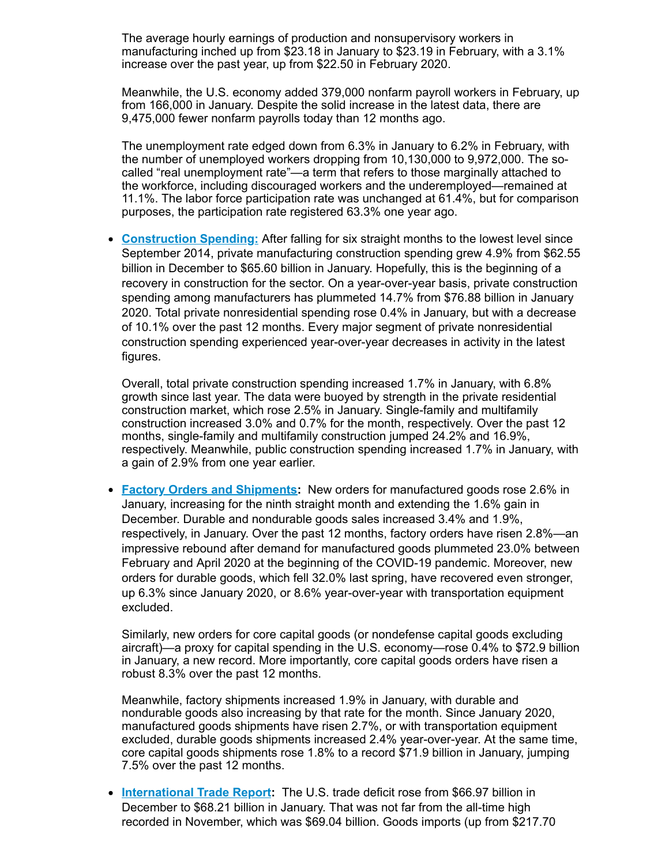The average hourly earnings of production and nonsupervisory workers in manufacturing inched up from \$23.18 in January to \$23.19 in February, with a 3.1% increase over the past year, up from \$22.50 in February 2020.

Meanwhile, the U.S. economy added 379,000 nonfarm payroll workers in February, up from 166,000 in January. Despite the solid increase in the latest data, there are 9,475,000 fewer nonfarm payrolls today than 12 months ago.

The unemployment rate edged down from 6.3% in January to 6.2% in February, with the number of unemployed workers dropping from 10,130,000 to 9,972,000. The socalled "real unemployment rate"—a term that refers to those marginally attached to the workforce, including discouraged workers and the underemployed—remained at 11.1%. The labor force participation rate was unchanged at 61.4%, but for comparison purposes, the participation rate registered 63.3% one year ago.

**[Construction](https://click.email.nam.org/?qs=81818105428c8357946f03aff5f742bff9d83ed5171cf3cf90d5078da30eb28adb375d5006748e0541a0d43b07630590597570d14f4ef5cdf89cc12be81f8fc2) Spending:** After falling for six straight months to the lowest level since  $\bullet$ September 2014, private manufacturing construction spending grew 4.9% from \$62.55 billion in December to \$65.60 billion in January. Hopefully, this is the beginning of a recovery in construction for the sector. On a year-over-year basis, private construction spending among manufacturers has plummeted 14.7% from \$76.88 billion in January 2020. Total private nonresidential spending rose 0.4% in January, but with a decrease of 10.1% over the past 12 months. Every major segment of private nonresidential construction spending experienced year-over-year decreases in activity in the latest figures.

Overall, total private construction spending increased 1.7% in January, with 6.8% growth since last year. The data were buoyed by strength in the private residential construction market, which rose 2.5% in January. Single-family and multifamily construction increased 3.0% and 0.7% for the month, respectively. Over the past 12 months, single-family and multifamily construction jumped 24.2% and 16.9%, respectively. Meanwhile, public construction spending increased 1.7% in January, with a gain of 2.9% from one year earlier.

**Factory Orders and [Shipments](https://click.email.nam.org/?qs=81818105428c8357c110e6ea2d1118a6242d196487bfb55301da73f0e0274aec888de628730493a5a8027c23e1dfe306a0c6a56af33628cd677ea74c54f077ff):** New orders for manufactured goods rose 2.6% in January, increasing for the ninth straight month and extending the 1.6% gain in December. Durable and nondurable goods sales increased 3.4% and 1.9%, respectively, in January. Over the past 12 months, factory orders have risen 2.8%—an impressive rebound after demand for manufactured goods plummeted 23.0% between February and April 2020 at the beginning of the COVID-19 pandemic. Moreover, new orders for durable goods, which fell 32.0% last spring, have recovered even stronger, up 6.3% since January 2020, or 8.6% year-over-year with transportation equipment excluded.

Similarly, new orders for core capital goods (or nondefense capital goods excluding aircraft)—a proxy for capital spending in the U.S. economy—rose 0.4% to \$72.9 billion in January, a new record. More importantly, core capital goods orders have risen a robust 8.3% over the past 12 months.

Meanwhile, factory shipments increased 1.9% in January, with durable and nondurable goods also increasing by that rate for the month. Since January 2020, manufactured goods shipments have risen 2.7%, or with transportation equipment excluded, durable goods shipments increased 2.4% year-over-year. At the same time, core capital goods shipments rose 1.8% to a record \$71.9 billion in January, jumping 7.5% over the past 12 months.

**[International](https://click.email.nam.org/?qs=81818105428c835701b24fc0fbb105089aa6ade4c5b4b1f3d28728a4ee29fab97f7952954822dfe827adb827641ef3f5b7c5421174f97a6ab396ca03ffb5d1eb) Trade Report:** The U.S. trade deficit rose from \$66.97 billion in December to \$68.21 billion in January. That was not far from the all-time high recorded in November, which was \$69.04 billion. Goods imports (up from \$217.70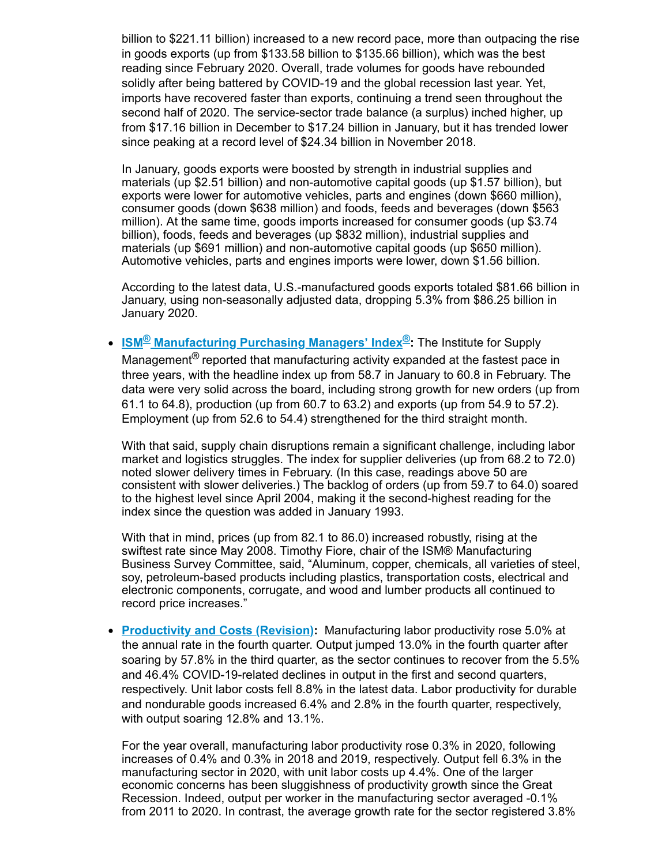billion to \$221.11 billion) increased to a new record pace, more than outpacing the rise in goods exports (up from \$133.58 billion to \$135.66 billion), which was the best reading since February 2020. Overall, trade volumes for goods have rebounded solidly after being battered by COVID-19 and the global recession last year. Yet, imports have recovered faster than exports, continuing a trend seen throughout the second half of 2020. The service-sector trade balance (a surplus) inched higher, up from \$17.16 billion in December to \$17.24 billion in January, but it has trended lower since peaking at a record level of \$24.34 billion in November 2018.

In January, goods exports were boosted by strength in industrial supplies and materials (up \$2.51 billion) and non-automotive capital goods (up \$1.57 billion), but exports were lower for automotive vehicles, parts and engines (down \$660 million), consumer goods (down \$638 million) and foods, feeds and beverages (down \$563 million). At the same time, goods imports increased for consumer goods (up \$3.74 billion), foods, feeds and beverages (up \$832 million), industrial supplies and materials (up \$691 million) and non-automotive capital goods (up \$650 million). Automotive vehicles, parts and engines imports were lower, down \$1.56 billion.

According to the latest data, U.S.-manufactured goods exports totaled \$81.66 billion in January, using non-seasonally adjusted data, dropping 5.3% from \$86.25 billion in January 2020.

**ISM® [Manufacturing](https://click.email.nam.org/?qs=81818105428c83571cadfa936428e3a57251926589309927d94fe79b38735a90dd214bdb9c3ee78495345236fa3e9a484a5e7b7521d5dc75c0f284ca05058b2e) Purchasing Managers' Index ®:** The Institute for Supply Management $^\circledR$  reported that manufacturing activity expanded at the fastest pace in three years, with the headline index up from 58.7 in January to 60.8 in February. The data were very solid across the board, including strong growth for new orders (up from 61.1 to 64.8), production (up from 60.7 to 63.2) and exports (up from 54.9 to 57.2). Employment (up from 52.6 to 54.4) strengthened for the third straight month.

With that said, supply chain disruptions remain a significant challenge, including labor market and logistics struggles. The index for supplier deliveries (up from 68.2 to 72.0) noted slower delivery times in February. (In this case, readings above 50 are consistent with slower deliveries.) The backlog of orders (up from 59.7 to 64.0) soared to the highest level since April 2004, making it the second-highest reading for the index since the question was added in January 1993.

With that in mind, prices (up from 82.1 to 86.0) increased robustly, rising at the swiftest rate since May 2008. Timothy Fiore, chair of the ISM® Manufacturing Business Survey Committee, said, "Aluminum, copper, chemicals, all varieties of steel, soy, petroleum-based products including plastics, transportation costs, electrical and electronic components, corrugate, and wood and lumber products all continued to record price increases."

**[Productivity](https://click.email.nam.org/?qs=51e43d7de227c03635e0745aa45544b08a5798dd96e11c835d95e013e2a2a59aa80c2199648f629fbc83eee1d202816f918848a4f5c199e530ea120361866d51) and Costs (Revision):** Manufacturing labor productivity rose 5.0% at the annual rate in the fourth quarter. Output jumped 13.0% in the fourth quarter after soaring by 57.8% in the third quarter, as the sector continues to recover from the 5.5% and 46.4% COVID-19-related declines in output in the first and second quarters, respectively. Unit labor costs fell 8.8% in the latest data. Labor productivity for durable and nondurable goods increased 6.4% and 2.8% in the fourth quarter, respectively, with output soaring 12.8% and 13.1%.

For the year overall, manufacturing labor productivity rose 0.3% in 2020, following increases of 0.4% and 0.3% in 2018 and 2019, respectively. Output fell 6.3% in the manufacturing sector in 2020, with unit labor costs up 4.4%. One of the larger economic concerns has been sluggishness of productivity growth since the Great Recession. Indeed, output per worker in the manufacturing sector averaged -0.1% from 2011 to 2020. In contrast, the average growth rate for the sector registered 3.8%